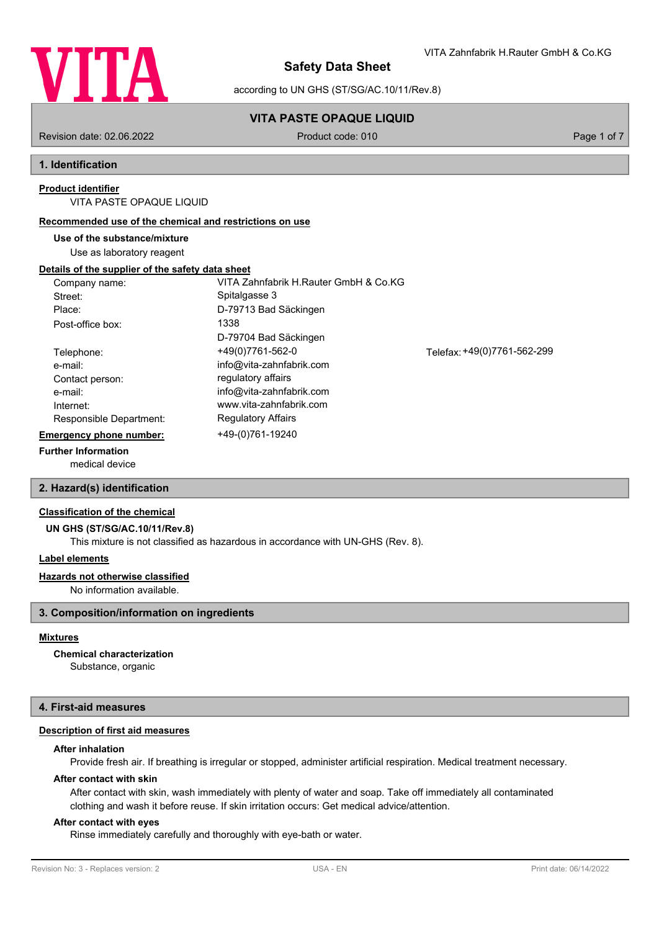

VITA Zahnfabrik H.Rauter GmbH & Co.KG

according to UN GHS (ST/SG/AC.10/11/Rev.8)

# **VITA PASTE OPAQUE LIQUID**

Revision date: 02.06.2022 **Product code: 010** Product code: 010 **Page 1 of 7** Page 1 of 7

## **1. Identification**

## **Product identifier**

VITA PASTE OPAQUE LIQUID

#### **Recommended use of the chemical and restrictions on use**

**Use of the substance/mixture**

Use as laboratory reagent

#### **Details of the supplier of the safety data sheet**

| Company name:                  | VITA Zahnfabrik H.Rauter GmbH & Co.KG |                             |
|--------------------------------|---------------------------------------|-----------------------------|
| Street:                        | Spitalgasse 3                         |                             |
| Place:                         | D-79713 Bad Säckingen                 |                             |
| Post-office box:               | 1338                                  |                             |
|                                | D-79704 Bad Säckingen                 |                             |
| Telephone:                     | +49(0)7761-562-0                      | Telefax: +49(0)7761-562-299 |
| e-mail:                        | info@vita-zahnfabrik.com              |                             |
| Contact person:                | regulatory affairs                    |                             |
| e-mail:                        | info@vita-zahnfabrik.com              |                             |
| Internet:                      | www.vita-zahnfabrik.com               |                             |
| Responsible Department:        | <b>Regulatory Affairs</b>             |                             |
| <b>Emergency phone number:</b> | +49-(0)761-19240                      |                             |
|                                |                                       |                             |

## **Further Information**

medical device

## **2. Hazard(s) identification**

#### **Classification of the chemical**

**UN GHS (ST/SG/AC.10/11/Rev.8)**

This mixture is not classified as hazardous in accordance with UN-GHS (Rev. 8).

## **Label elements**

#### **Hazards not otherwise classified**

No information available.

#### **3. Composition/information on ingredients**

## **Mixtures**

**Chemical characterization**

Substance, organic

## **4. First-aid measures**

## **Description of first aid measures**

#### **After inhalation**

Provide fresh air. If breathing is irregular or stopped, administer artificial respiration. Medical treatment necessary.

## **After contact with skin**

After contact with skin, wash immediately with plenty of water and soap. Take off immediately all contaminated clothing and wash it before reuse. If skin irritation occurs: Get medical advice/attention.

## **After contact with eyes**

Rinse immediately carefully and thoroughly with eye-bath or water.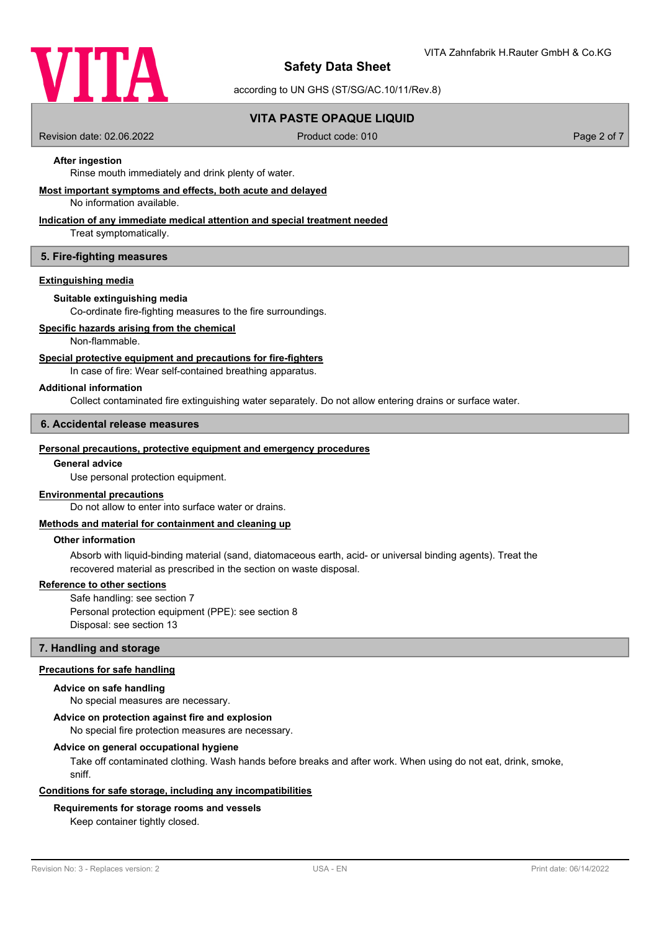

according to UN GHS (ST/SG/AC.10/11/Rev.8)

## **VITA PASTE OPAQUE LIQUID**

Revision date: 02.06.2022 Product code: 010 Page 2 of 7

## **After ingestion**

Rinse mouth immediately and drink plenty of water.

#### **Most important symptoms and effects, both acute and delayed**

No information available.

## **Indication of any immediate medical attention and special treatment needed**

Treat symptomatically.

#### **5. Fire-fighting measures**

#### **Extinguishing media**

#### **Suitable extinguishing media**

Co-ordinate fire-fighting measures to the fire surroundings.

## **Specific hazards arising from the chemical**

Non-flammable.

#### **Special protective equipment and precautions for fire-fighters**

In case of fire: Wear self-contained breathing apparatus.

#### **Additional information**

Collect contaminated fire extinguishing water separately. Do not allow entering drains or surface water.

#### **6. Accidental release measures**

#### **Personal precautions, protective equipment and emergency procedures**

#### **General advice**

Use personal protection equipment.

#### **Environmental precautions**

Do not allow to enter into surface water or drains.

#### **Methods and material for containment and cleaning up**

#### **Other information**

Absorb with liquid-binding material (sand, diatomaceous earth, acid- or universal binding agents). Treat the recovered material as prescribed in the section on waste disposal.

#### **Reference to other sections**

Safe handling: see section 7 Personal protection equipment (PPE): see section 8 Disposal: see section 13

#### **7. Handling and storage**

#### **Precautions for safe handling**

#### **Advice on safe handling**

No special measures are necessary.

#### **Advice on protection against fire and explosion**

No special fire protection measures are necessary.

#### **Advice on general occupational hygiene**

Take off contaminated clothing. Wash hands before breaks and after work. When using do not eat, drink, smoke, sniff.

#### **Conditions for safe storage, including any incompatibilities**

#### **Requirements for storage rooms and vessels**

Keep container tightly closed.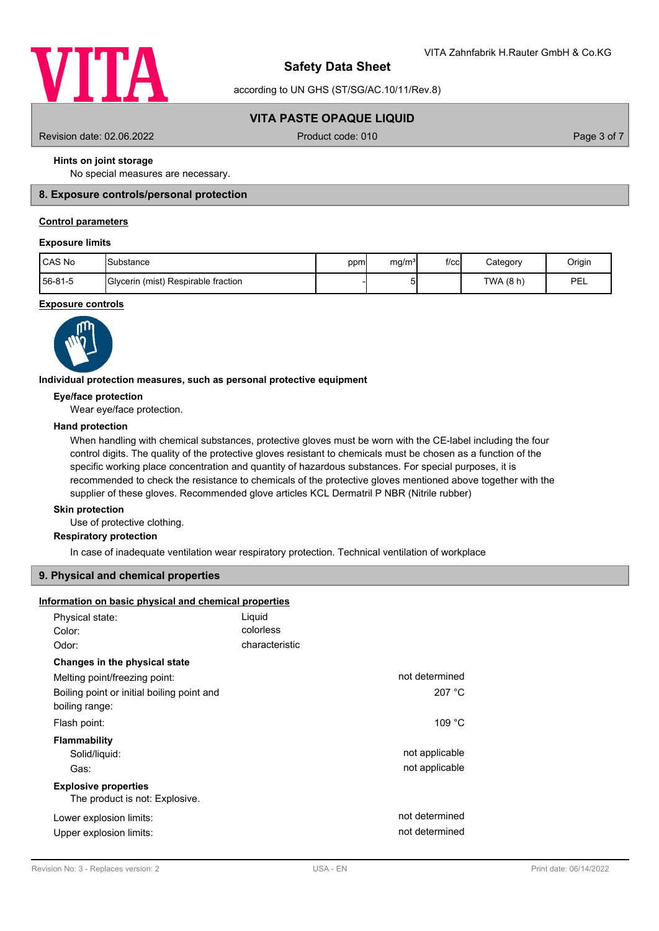

according to UN GHS (ST/SG/AC.10/11/Rev.8)

## **VITA PASTE OPAQUE LIQUID**

Revision date: 02.06.2022 Product code: 010 Page 3 of 7

#### **Hints on joint storage**

No special measures are necessary.

#### **8. Exposure controls/personal protection**

## **Control parameters**

#### **Exposure limits**

| CAS No  | <b>ISubstance</b>                           | ppm | mg/m <sup>31</sup> | $f$ / $c$ c | Category  | Origin |
|---------|---------------------------------------------|-----|--------------------|-------------|-----------|--------|
| 56-81-5 | <b>IGIvcerin (mist) Respirable fraction</b> |     | ວເ                 |             | TWA (8 h) | PEL    |

## **Exposure controls**



**Individual protection measures, such as personal protective equipment**

#### **Eye/face protection**

Wear eye/face protection.

#### **Hand protection**

When handling with chemical substances, protective gloves must be worn with the CE-label including the four control digits. The quality of the protective gloves resistant to chemicals must be chosen as a function of the specific working place concentration and quantity of hazardous substances. For special purposes, it is recommended to check the resistance to chemicals of the protective gloves mentioned above together with the supplier of these gloves. Recommended glove articles KCL Dermatril P NBR (Nitrile rubber)

## **Skin protection**

Use of protective clothing.

## **Respiratory protection**

In case of inadequate ventilation wear respiratory protection. Technical ventilation of workplace

#### **9. Physical and chemical properties**

#### **Information on basic physical and chemical properties**

| Physical state:                                               | Liquid         |                |
|---------------------------------------------------------------|----------------|----------------|
| Color:                                                        | colorless      |                |
| Odor:                                                         | characteristic |                |
| Changes in the physical state                                 |                |                |
| Melting point/freezing point:                                 |                | not determined |
| Boiling point or initial boiling point and<br>boiling range:  |                | 207 °C         |
| Flash point:                                                  |                | 109 °C         |
| <b>Flammability</b>                                           |                |                |
| Solid/liquid:                                                 |                | not applicable |
| Gas:                                                          |                | not applicable |
| <b>Explosive properties</b><br>The product is not: Explosive. |                |                |
| Lower explosion limits:                                       |                | not determined |
| Upper explosion limits:                                       |                | not determined |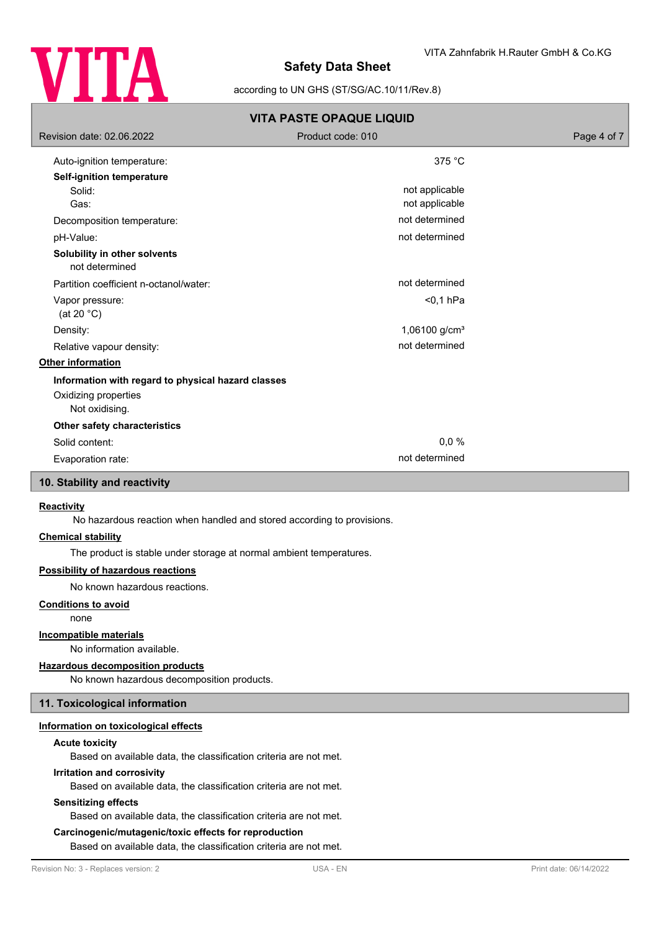

according to UN GHS (ST/SG/AC.10/11/Rev.8)

| <b>VITA PASTE OPAQUE LIQUID</b>                    |                           |             |  |  |
|----------------------------------------------------|---------------------------|-------------|--|--|
| Revision date: 02.06.2022                          | Product code: 010         | Page 4 of 7 |  |  |
| Auto-ignition temperature:                         | 375 °C                    |             |  |  |
| Self-ignition temperature                          |                           |             |  |  |
| Solid:                                             | not applicable            |             |  |  |
| Gas:                                               | not applicable            |             |  |  |
| Decomposition temperature:                         | not determined            |             |  |  |
| pH-Value:                                          | not determined            |             |  |  |
| Solubility in other solvents<br>not determined     |                           |             |  |  |
| Partition coefficient n-octanol/water:             | not determined            |             |  |  |
| Vapor pressure:<br>(at 20 $°C$ )                   | $0.1$ hPa                 |             |  |  |
| Density:                                           | 1,06100 g/cm <sup>3</sup> |             |  |  |
| Relative vapour density:                           | not determined            |             |  |  |
| Other information                                  |                           |             |  |  |
| Information with regard to physical hazard classes |                           |             |  |  |
| Oxidizing properties                               |                           |             |  |  |
| Not oxidising.                                     |                           |             |  |  |
| Other safety characteristics                       |                           |             |  |  |
| Solid content:                                     | 0,0%                      |             |  |  |
| Evaporation rate:                                  | not determined            |             |  |  |

## **10. Stability and reactivity**

#### **Reactivity**

No hazardous reaction when handled and stored according to provisions.

#### **Chemical stability**

The product is stable under storage at normal ambient temperatures.

#### **Possibility of hazardous reactions**

No known hazardous reactions.

## **Conditions to avoid**

none

#### **Incompatible materials**

No information available.

#### **Hazardous decomposition products**

No known hazardous decomposition products.

## **11. Toxicological information**

## **Information on toxicological effects**

#### **Acute toxicity**

Based on available data, the classification criteria are not met.

#### **Irritation and corrosivity**

Based on available data, the classification criteria are not met.

#### **Sensitizing effects**

Based on available data, the classification criteria are not met.

#### **Carcinogenic/mutagenic/toxic effects for reproduction**

Based on available data, the classification criteria are not met.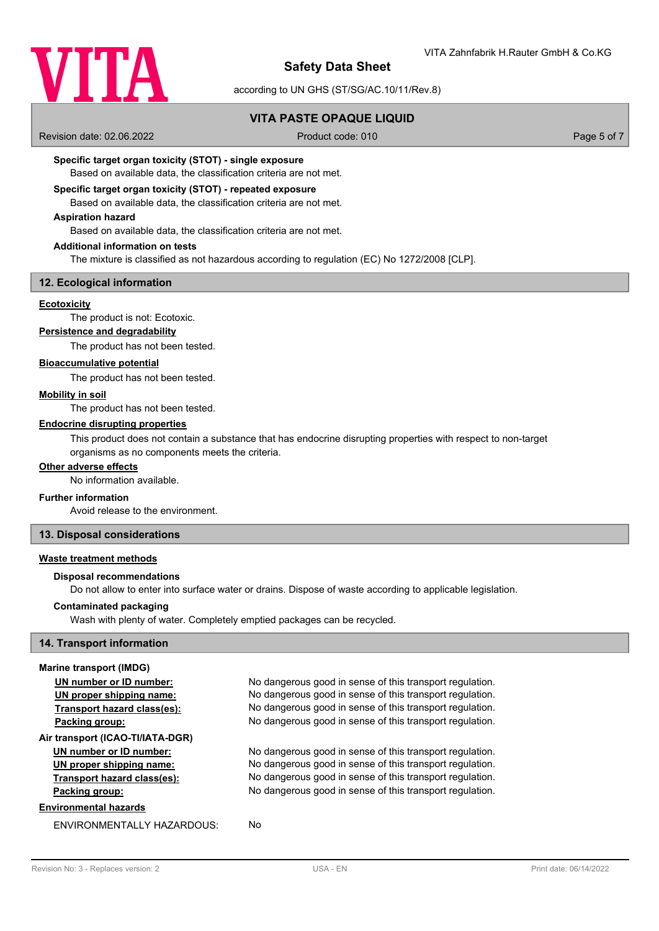

according to UN GHS (ST/SG/AC.10/11/Rev.8)

## **VITA PASTE OPAQUE LIQUID**

Revision date: 02.06.2022 Product code: 010 Page 5 of 7

## **Specific target organ toxicity (STOT) - single exposure**

Based on available data, the classification criteria are not met.

## **Specific target organ toxicity (STOT) - repeated exposure**

Based on available data, the classification criteria are not met.

#### **Aspiration hazard**

Based on available data, the classification criteria are not met.

#### **Additional information on tests**

The mixture is classified as not hazardous according to regulation (EC) No 1272/2008 [CLP].

#### **12. Ecological information**

#### **Ecotoxicity**

The product is not: Ecotoxic.

## **Persistence and degradability**

The product has not been tested.

#### **Bioaccumulative potential**

The product has not been tested.

## **Mobility in soil**

The product has not been tested.

## **Endocrine disrupting properties**

This product does not contain a substance that has endocrine disrupting properties with respect to non-target organisms as no components meets the criteria.

# **Other adverse effects**

No information available.

# **Further information**

Avoid release to the environment.

## **13. Disposal considerations**

#### **Waste treatment methods**

#### **Disposal recommendations**

Do not allow to enter into surface water or drains. Dispose of waste according to applicable legislation.

#### **Contaminated packaging**

Wash with plenty of water. Completely emptied packages can be recycled.

## **14. Transport information**

#### **Marine transport (IMDG)**

| No dangerous good in sense of this transport regulation. |
|----------------------------------------------------------|
| No dangerous good in sense of this transport regulation. |
| No dangerous good in sense of this transport regulation. |
| No dangerous good in sense of this transport regulation. |
|                                                          |
| No dangerous good in sense of this transport regulation. |
| No dangerous good in sense of this transport regulation. |
| No dangerous good in sense of this transport regulation. |
| No dangerous good in sense of this transport regulation. |
|                                                          |
| No.                                                      |
|                                                          |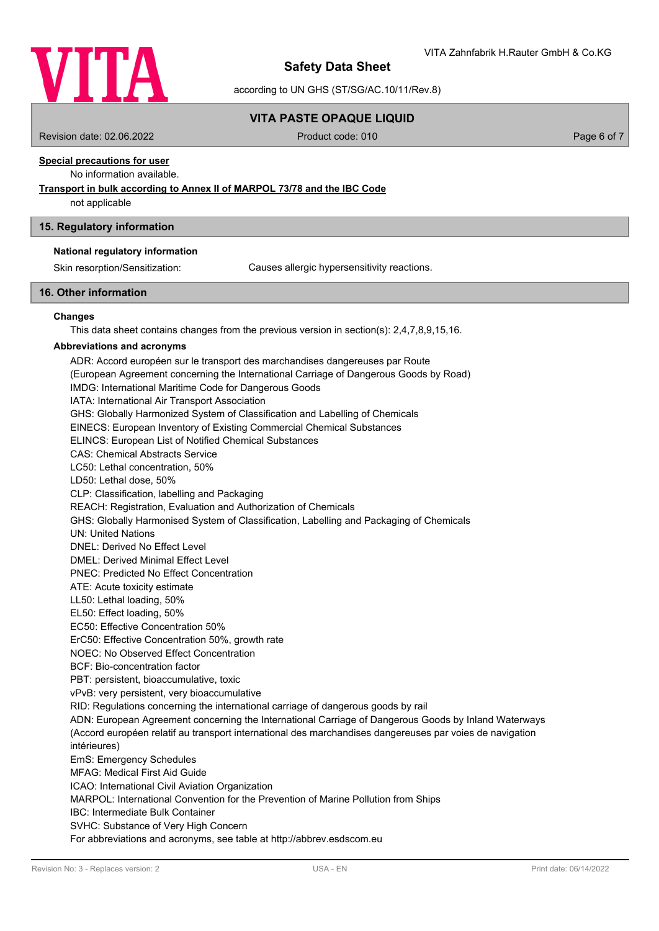

according to UN GHS (ST/SG/AC.10/11/Rev.8)

## **VITA PASTE OPAQUE LIQUID**

Revision date: 02.06.2022 Product code: 010 Page 6 of 7

# **Special precautions for user**

No information available.

## **Transport in bulk according to Annex II of MARPOL 73/78 and the IBC Code**

not applicable

#### **15. Regulatory information**

#### **National regulatory information**

Skin resorption/Sensitization: Causes allergic hypersensitivity reactions.

## **16. Other information**

#### **Changes**

This data sheet contains changes from the previous version in section(s): 2,4,7,8,9,15,16.

#### **Abbreviations and acronyms**

ADR: Accord européen sur le transport des marchandises dangereuses par Route (European Agreement concerning the International Carriage of Dangerous Goods by Road) IMDG: International Maritime Code for Dangerous Goods IATA: International Air Transport Association GHS: Globally Harmonized System of Classification and Labelling of Chemicals EINECS: European Inventory of Existing Commercial Chemical Substances ELINCS: European List of Notified Chemical Substances CAS: Chemical Abstracts Service LC50: Lethal concentration, 50% LD50: Lethal dose, 50% CLP: Classification, labelling and Packaging REACH: Registration, Evaluation and Authorization of Chemicals GHS: Globally Harmonised System of Classification, Labelling and Packaging of Chemicals UN: United Nations DNEL: Derived No Effect Level DMEL: Derived Minimal Effect Level PNEC: Predicted No Effect Concentration ATE: Acute toxicity estimate LL50: Lethal loading, 50% EL50: Effect loading, 50% EC50: Effective Concentration 50% ErC50: Effective Concentration 50%, growth rate NOEC: No Observed Effect Concentration BCF: Bio-concentration factor PBT: persistent, bioaccumulative, toxic vPvB: very persistent, very bioaccumulative RID: Regulations concerning the international carriage of dangerous goods by rail ADN: European Agreement concerning the International Carriage of Dangerous Goods by Inland Waterways (Accord européen relatif au transport international des marchandises dangereuses par voies de navigation intérieures) EmS: Emergency Schedules MFAG: Medical First Aid Guide ICAO: International Civil Aviation Organization MARPOL: International Convention for the Prevention of Marine Pollution from Ships IBC: Intermediate Bulk Container SVHC: Substance of Very High Concern For abbreviations and acronyms, see table at http://abbrev.esdscom.eu